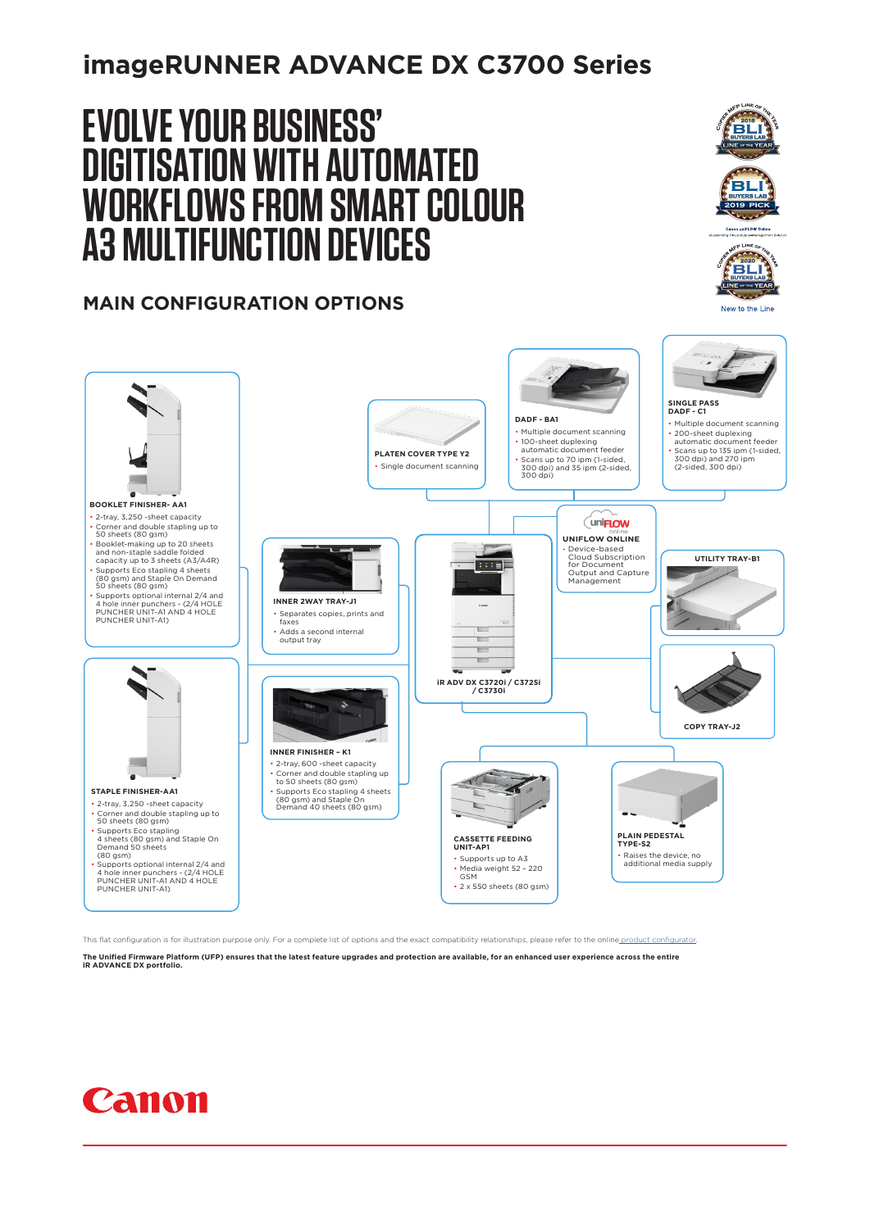## **imageRUNNER ADVANCE DX C3700 Series**

# **EVOLVE YOUR BUSINESS' DIGITISATION WITH AUTOMATED WORKFLOWS FROM SMART COLOUR A3 MULTIFUNCTION DEVICES**

### **MAIN CONFIGURATION OPTIONS**





**SINGLE PASS DADF - C1 DADF - BA1** • Multiple document scanning • Multiple document scanning • 200-sheet duplexing automatic document feeder • Scans up to 135 ipm (1-sided, 300 dpi) and 270 ipm (2-sided, 300 dpi) • 100-sheet duplexing automatic document feeder **PLATEN COVER TYPE Y2** • Scans up to 70 ipm (1-sided, 300 dpi) and 35 ipm (2-sided, 300 dpi) Single document scanning **BOOKLET FINISHER- AA1** • 2-tray, 3,250 -sheet capacity (uni**FLOW** • Corner and double stapling up to 50 sheets (80 gsm) **UNIFLOW ONLINE** • Booklet-making up to 20 sheets and non-staple saddle folded capacity up to 3 sheets (A3/A4R) • Supports Eco stapling 4 sheets • Device-based Cloud Subscription for Document Output and Capture Management **UTILITY TRAY-B1** (80 gsm) and Staple On Demand 50 sheets (80 gsm) • Supports optional internal 2/4 and 4 hole inner punchers - (2/4 HOLE **INNER 2WAY TRAY-J1** PUNCHER UNIT-A1 AND 4 HOLE PUNCHER UNIT-A1) • Separates copies, prints and faxes • Adds a second internal output tray **iR ADV DX C3720i / C3725i / C3730i** 4 **COPY TRAY-J2INNER FINISHER – K1** • 2-tray, 600 -sheet capacity • Corner and double stapling up to 50 sheets (80 gsm) **STAPLE FINISHER-AA1** • Supports Eco stapling 4 sheets (80 gsm) and Staple On Demand 40 sheets (80 gsm) • 2-tray, 3,250 -sheet capacity • Corner and double stapling up to 50 sheets (80 gsm) • Supports Eco stapling 4 sheets (80 gsm) and Staple On Demand 50 sheets (80 gsm) **PLAIN PEDESTAL TYPE-S2 CASSETTE FEEDING UNIT-AP1** • Raises the device, no additional media supply • Supports up to A3 • Media weight 52 – 220 GSM • Supports optional internal 2/4 and 4 hole inner punchers - (2/4 HOLE PUNCHER UNIT-A1 AND 4 HOLE PUNCHER UNIT-A1) • 2 x 550 sheets (80 gsm)

This flat configuration is for illustration purpose only. For a complete list of options and the exact compatibility relationships, please refer to the online product configurator

**The Unified Firmware Platform (UFP) ensures that the latest feature upgrades and protection are available, for an enhanced user experience across the entire iR ADVANCE DX portfolio.**

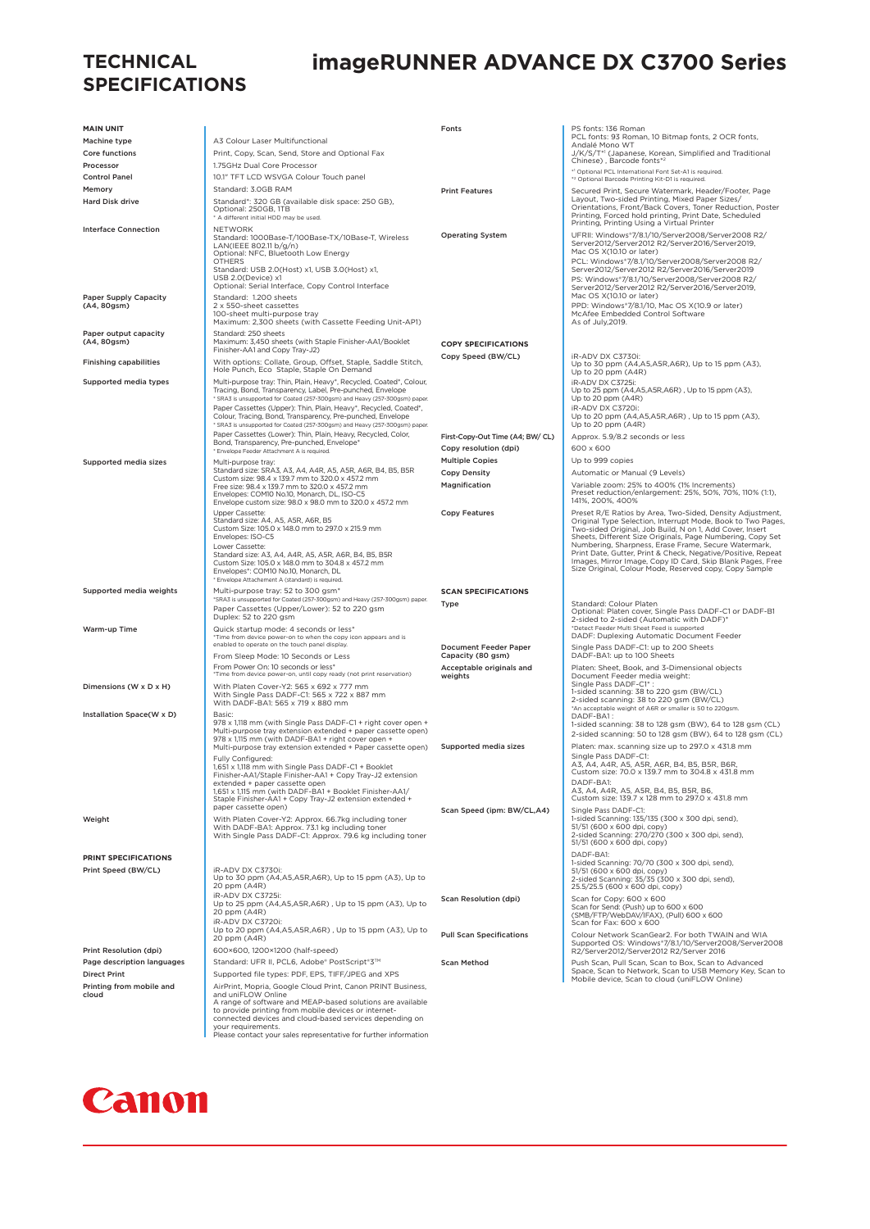### **TECHNICAL SPECIFICATIONS**

## **imageRUNNER ADVANCE DX C3700 Series**

| <b>MAIN UNIT</b>                            |                                                                                                                                                                                                                                                                                                                                                                                                                                                                                                                                                                                                | Fonts                                                                             | PS fonts: 136 Roman<br>PCL fonts: 93 Roman, 10 Bitmap fonts, 2 OCR fonts,                                                                                                                                                                                                                                                                                                                                                                                                                          |
|---------------------------------------------|------------------------------------------------------------------------------------------------------------------------------------------------------------------------------------------------------------------------------------------------------------------------------------------------------------------------------------------------------------------------------------------------------------------------------------------------------------------------------------------------------------------------------------------------------------------------------------------------|-----------------------------------------------------------------------------------|----------------------------------------------------------------------------------------------------------------------------------------------------------------------------------------------------------------------------------------------------------------------------------------------------------------------------------------------------------------------------------------------------------------------------------------------------------------------------------------------------|
| Machine type                                | A3 Colour Laser Multifunctional                                                                                                                                                                                                                                                                                                                                                                                                                                                                                                                                                                |                                                                                   | Andalé Mono WT                                                                                                                                                                                                                                                                                                                                                                                                                                                                                     |
| Core functions                              | Print, Copy, Scan, Send, Store and Optional Fax                                                                                                                                                                                                                                                                                                                                                                                                                                                                                                                                                |                                                                                   | J/K/S/T*1 (Japanese, Korean, Simplified and Traditional<br>Chinese), Barcode fonts*2                                                                                                                                                                                                                                                                                                                                                                                                               |
| Processor                                   | 1.75GHz Dual Core Processor                                                                                                                                                                                                                                                                                                                                                                                                                                                                                                                                                                    |                                                                                   | *1 Optional PCL International Font Set-A1 is required.                                                                                                                                                                                                                                                                                                                                                                                                                                             |
| <b>Control Panel</b><br>Memory              | 10.1" TFT LCD WSVGA Colour Touch panel<br>Standard: 3.0GB RAM                                                                                                                                                                                                                                                                                                                                                                                                                                                                                                                                  |                                                                                   | *2 Optional Barcode Printing Kit-D1 is required.                                                                                                                                                                                                                                                                                                                                                                                                                                                   |
| <b>Hard Disk drive</b>                      | Standard*: 320 GB (available disk space: 250 GB),<br>Optional: 250GB, 1TB<br>* A different initial HDD may be used.                                                                                                                                                                                                                                                                                                                                                                                                                                                                            | <b>Print Features</b>                                                             | Secured Print, Secure Watermark, Header/Footer, Page<br>Layout, Two-sided Printing, Mixed Paper Sizes/<br>Orientations, Front/Back Covers, Toner Reduction, Poster<br>Printing, Forced hold printing, Print Date, Scheduled                                                                                                                                                                                                                                                                        |
| <b>Interface Connection</b>                 | <b>NETWORK</b><br>Standard: 1000Base-T/100Base-TX/10Base-T, Wireless<br>LAN(IEEE 802.11 b/g/n)<br>Optional: NFC, Bluetooth Low Energy<br><b>OTHERS</b><br>Standard: USB 2.0(Host) x1, USB 3.0(Host) x1,<br>USB 2.0(Device) x1<br>Optional: Serial Interface, Copy Control Interface                                                                                                                                                                                                                                                                                                            | <b>Operating System</b>                                                           | Printing, Printing Using a Virtual Printer<br>UFRII: Windows*7/8.1/10/Server2008/Server2008 R2/<br>Server2012/Server2012 R2/Server2016/Server2019,<br>Mac OS X(10.10 or later)<br>PCL: Windows*7/8.1/10/Server2008/Server2008 R2/<br>Server2012/Server2012 R2/Server2016/Server2019<br>PS: Windows*7/8.1/10/Server2008/Server2008 R2/<br>Server2012/Server2012 R2/Server2016/Server2019,                                                                                                           |
| Paper Supply Capacity<br>(A4, 80gsm)        | Standard: 1.200 sheets<br>2 x 550-sheet cassettes<br>100-sheet multi-purpose tray<br>Maximum: 2,300 sheets (with Cassette Feeding Unit-AP1)                                                                                                                                                                                                                                                                                                                                                                                                                                                    |                                                                                   | Mac OS X(10.10 or later)<br>PPD: Windows*7/8.1/10, Mac OS X(10.9 or later)<br>McAfee Embedded Control Software<br>As of July, 2019.                                                                                                                                                                                                                                                                                                                                                                |
| Paper output capacity<br>(A4, 80gsm)        | Standard: 250 sheets<br>Maximum: 3,450 sheets (with Staple Finisher-AA1/Booklet<br>Finisher-AA1 and Copy Tray-J2)                                                                                                                                                                                                                                                                                                                                                                                                                                                                              | <b>COPY SPECIFICATIONS</b>                                                        |                                                                                                                                                                                                                                                                                                                                                                                                                                                                                                    |
| <b>Finishing capabilities</b>               | With options: Collate, Group, Offset, Staple, Saddle Stitch,<br>Hole Punch, Eco Staple, Staple On Demand                                                                                                                                                                                                                                                                                                                                                                                                                                                                                       | Copy Speed (BW/CL)                                                                | iR-ADV DX C3730i:<br>Up to 30 ppm (A4,A5,A5R,A6R), Up to 15 ppm (A3),<br>Up to 20 ppm (A4R)                                                                                                                                                                                                                                                                                                                                                                                                        |
| Supported media types                       | Multi-purpose tray: Thin, Plain, Heavy*, Recycled, Coated*, Colour,<br>Tracing, Bond, Transparency, Label, Pre-punched, Envelope<br>* SRA3 is unsupported for Coated (257-300gsm) and Heavy (257-300gsm) paper.<br>Paper Cassettes (Upper): Thin, Plain, Heavy*, Recycled, Coated*,<br>Colour, Tracing, Bond, Transparency, Pre-punched, Envelope<br>* SRA3 is unsupported for Coated (257-300gsm) and Heavy (257-300gsm) paper.<br>Paper Cassettes (Lower): Thin, Plain, Heavy, Recycled, Color,<br>Bond, Transparency, Pre-punched, Envelope*<br>* Envelope Feeder Attachment A is required. | First-Copy-Out Time (A4; BW/ CL)<br>Copy resolution (dpi)                         | iR-ADV DX C3725i:<br>Up to 25 ppm (A4,A5,A5R,A6R), Up to 15 ppm (A3),<br>Up to 20 ppm (A4R)<br>iR-ADV DX C3720i:<br>Up to 20 ppm (A4,A5,A5R,A6R), Up to 15 ppm (A3),<br>Up to 20 ppm (A4R)<br>Approx. 5.9/8.2 seconds or less<br>600 x 600                                                                                                                                                                                                                                                         |
| Supported media sizes                       | Multi-purpose tray:                                                                                                                                                                                                                                                                                                                                                                                                                                                                                                                                                                            | <b>Multiple Copies</b>                                                            | Up to 999 copies                                                                                                                                                                                                                                                                                                                                                                                                                                                                                   |
|                                             | Standard size: SRA3, A3, A4, A4R, A5, A5R, A6R, B4, B5, B5R                                                                                                                                                                                                                                                                                                                                                                                                                                                                                                                                    | <b>Copy Density</b>                                                               | Automatic or Manual (9 Levels)                                                                                                                                                                                                                                                                                                                                                                                                                                                                     |
|                                             | Custom size: 98.4 x 139.7 mm to 320.0 x 457.2 mm<br>Free size: 98.4 x 139.7 mm to 320.0 x 457.2 mm<br>Envelopes: COM10 No.10, Monarch, DL, ISO-C5<br>Envelope custom size: 98.0 x 98.0 mm to 320.0 x 457.2 mm                                                                                                                                                                                                                                                                                                                                                                                  | Magnification                                                                     | Variable zoom: 25% to 400% (1% Increments)<br>Preset reduction/enlargement: 25%, 50%, 70%, 110% (1:1),<br>141%, 200%, 400%                                                                                                                                                                                                                                                                                                                                                                         |
|                                             | Upper Cassette:<br>Standard size: A4, A5, A5R, A6R, B5<br>Custom Size: 105.0 x 148.0 mm to 297.0 x 215.9 mm<br>Envelopes: ISO-C5<br>Lower Cassette:<br>Standard size: A3, A4, A4R, A5, A5R, A6R, B4, B5, B5R<br>Custom Size: 105.0 x 148.0 mm to 304.8 x 457.2 mm<br>Envelopes*: COM10 No.10, Monarch, DL                                                                                                                                                                                                                                                                                      | <b>Copy Features</b>                                                              | Preset R/E Ratios by Area, Two-Sided, Density Adjustment,<br>Original Type Selection, Interrupt Mode, Book to Two Pages,<br>Two-sided Original, Job Build, N on 1, Add Cover, Insert<br>Sheets, Different Size Originals, Page Numbering, Copy Set<br>Numbering, Sharpness, Erase Frame, Secure Watermark,<br>Print Date, Gutter, Print & Check, Negative/Positive, Repeat<br>Images, Mirror Image, Copy ID Card, Skip Blank Pages, Free<br>Size Original, Colour Mode, Reserved copy, Copy Sample |
| Supported media weights                     | * Envelope Attachement A (standard) is required.<br>Multi-purpose tray: 52 to 300 gsm*<br>*SRA3 is unsupported for Coated (257-300gsm) and Heavy (257-300gsm) paper.<br>Paper Cassettes (Upper/Lower): 52 to 220 gsm                                                                                                                                                                                                                                                                                                                                                                           | <b>SCAN SPECIFICATIONS</b><br>Type                                                | Standard: Colour Platen<br>Optional: Platen cover, Single Pass DADF-C1 or DADF-B1                                                                                                                                                                                                                                                                                                                                                                                                                  |
| Warm-up Time                                | Duplex: 52 to 220 gsm<br>Quick startup mode: 4 seconds or less*<br>*Time from device power-on to when the copy icon appears and is<br>enabled to operate on the touch panel display.<br>From Sleep Mode: 10 Seconds or Less<br>From Power On: 10 seconds or less*<br>*Time from device power-on, until copy ready (not print reservation)                                                                                                                                                                                                                                                      | Document Feeder Paper<br>Capacity (80 gsm)<br>Acceptable originals and<br>weights | 2-sided to 2-sided (Automatic with DADF)*<br>*Detect Feeder Multi Sheet Feed is supported<br>DADF: Duplexing Automatic Document Feeder<br>Single Pass DADF-C1: up to 200 Sheets<br>DADF-BA1: up to 100 Sheets<br>Platen: Sheet, Book, and 3-Dimensional objects<br>Document Feeder media weight:                                                                                                                                                                                                   |
| Dimensions (W x D x H)                      | With Platen Cover-Y2: 565 x 692 x 777 mm<br>With Single Pass DADF-C1: 565 x 722 x 887 mm<br>With DADF-BA1: 565 x 719 x 880 mm                                                                                                                                                                                                                                                                                                                                                                                                                                                                  |                                                                                   | Single Pass DADF-C1*:<br>1-sided scanning: 38 to 220 gsm (BW/CL)<br>2-sided scanning: 38 to 220 gsm (BW/CL)                                                                                                                                                                                                                                                                                                                                                                                        |
| Installation Space(W x D)                   | Basic:<br>978 x 1,118 mm (with Single Pass DADF-C1 + right cover open +<br>Multi-purpose tray extension extended + paper cassette open)<br>978 x 1,115 mm (with DADF-BA1 + right cover open +<br>Multi-purpose tray extension extended + Paper cassette open)<br>Fully Configured:<br>1,651 x 1,118 mm with Single Pass DADF-C1 + Booklet<br>Finisher-AA1/Staple Finisher-AA1 + Copy Tray-J2 extension<br>extended + paper cassette open<br>1,651 x 1,115 mm (with DADF-BA1 + Booklet Finisher-AA1/<br>Staple Finisher-AA1 + Copy Tray-J2 extension extended +                                 | Supported media sizes                                                             | *An acceptable weight of A6R or smaller is 50 to 220gsm.<br>DADF-BA1:<br>1-sided scanning: 38 to 128 gsm (BW), 64 to 128 gsm (CL)<br>2-sided scanning: 50 to 128 gsm (BW), 64 to 128 gsm (CL)<br>Platen: max. scanning size up to 297.0 x 431.8 mm<br>Single Pass DADF-C1:<br>A3, A4, A4R, A5, A5R, A6R, B4, B5, B5R, B6R,<br>Custom size: 70.0 x 139.7 mm to 304.8 x 431.8 mm<br>DADF-BA1:<br>A3, A4, A4R, A5, A5R, B4, B5, B5R, B6,<br>Custom size: 139.7 x 128 mm to 297.0 x 431.8 mm           |
| Weight                                      | paper cassette open)<br>With Platen Cover-Y2: Approx. 66.7kg including toner<br>With DADF-BA1: Approx. 73.1 kg including toner<br>With Single Pass DADF-C1: Approx. 79.6 kg including toner                                                                                                                                                                                                                                                                                                                                                                                                    | Scan Speed (ipm: BW/CL,A4)                                                        | Single Pass DADF-C1:<br>1-sided Scanning: 135/135 (300 x 300 dpi, send),<br>51/51 (600 x 600 dpi, copy)<br>2-sided Scanning: 270/270 (300 x 300 dpi, send),<br>51/51 (600 x 600 dpi, copy)                                                                                                                                                                                                                                                                                                         |
| PRINT SPECIFICATIONS<br>Print Speed (BW/CL) | iR-ADV DX C3730i:<br>Up to 30 ppm (A4,A5,A5R,A6R), Up to 15 ppm (A3), Up to<br>20 ppm (A4R)                                                                                                                                                                                                                                                                                                                                                                                                                                                                                                    |                                                                                   | DADF-BA1:<br>1-sided Scanning: 70/70 (300 x 300 dpi, send),<br>51/51 (600 x 600 dpi, copy)<br>2-sided Scanning: 35/35 (300 x 300 dpi, send),<br>25.5/25.5 (600 x 600 dpi, copy)                                                                                                                                                                                                                                                                                                                    |
|                                             | iR-ADV DX C3725i:<br>Up to 25 ppm (A4,A5,A5R,A6R), Up to 15 ppm (A3), Up to<br>20 ppm (A4R)<br>iR-ADV DX C3720i:                                                                                                                                                                                                                                                                                                                                                                                                                                                                               | <b>Scan Resolution (dpi)</b>                                                      | Scan for Copy: 600 x 600<br>Scan for Send: (Push) up to 600 x 600<br>(SMB/FTP/WebDAV/IFAX), (Pull) 600 x 600<br>Scan for Fax: 600 x 600                                                                                                                                                                                                                                                                                                                                                            |
| Print Resolution (dpi)                      | Up to 20 ppm (A4,A5,A5R,A6R), Up to 15 ppm (A3), Up to<br>20 ppm (A4R)<br>600×600, 1200×1200 (half-speed)                                                                                                                                                                                                                                                                                                                                                                                                                                                                                      | <b>Pull Scan Specifications</b>                                                   | Colour Network ScanGear2. For both TWAIN and WIA<br>Supported OS: Windows*7/8.1/10/Server2008/Server2008<br>R2/Server2012/Server2012 R2/Server 2016                                                                                                                                                                                                                                                                                                                                                |
| Page description languages                  | Standard: UFR II, PCL6, Adobe® PostScript®3™                                                                                                                                                                                                                                                                                                                                                                                                                                                                                                                                                   | <b>Scan Method</b>                                                                | Push Scan, Pull Scan, Scan to Box, Scan to Advanced                                                                                                                                                                                                                                                                                                                                                                                                                                                |
| <b>Direct Print</b>                         | Supported file types: PDF, EPS, TIFF/JPEG and XPS                                                                                                                                                                                                                                                                                                                                                                                                                                                                                                                                              |                                                                                   | Space, Scan to Network, Scan to USB Memory Key, Scan to                                                                                                                                                                                                                                                                                                                                                                                                                                            |
| Printing from mobile and<br>cloud           | AirPrint, Mopria, Google Cloud Print, Canon PRINT Business,<br>and uniFLOW Online<br>A range of software and MEAP-based solutions are available<br>to provide printing from mobile devices or internet-<br>connected devices and cloud-based services depending on<br>your requirements.<br>Please contact your sales representative for further information                                                                                                                                                                                                                                   |                                                                                   | Mobile device, Scan to cloud (uniFLOW Online)                                                                                                                                                                                                                                                                                                                                                                                                                                                      |

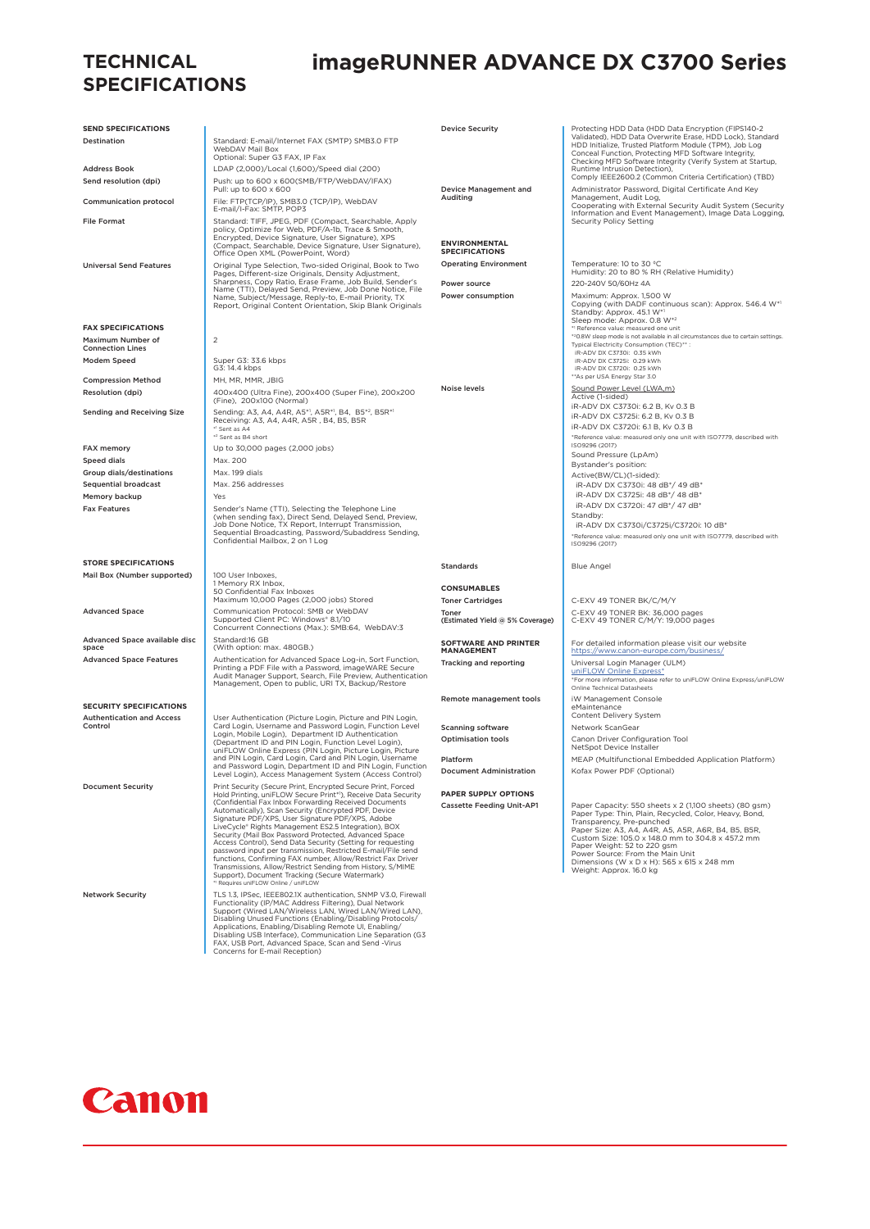#### **TECHNICAL SPECIFICATIONS**

## **imageRUNNER ADVANCE DX C3700 Series**

| <b>SEND SPECIFICATIONS</b>                                               |                                                                                                                                                     | <b>Device Security</b>                        | Protecting HDD Data (HDD Data Encryption (FIPS140-2                                                                                                                                                                                       |
|--------------------------------------------------------------------------|-----------------------------------------------------------------------------------------------------------------------------------------------------|-----------------------------------------------|-------------------------------------------------------------------------------------------------------------------------------------------------------------------------------------------------------------------------------------------|
| Destination                                                              | Standard: E-mail/Internet FAX (SMTP) SMB3.0 FTP<br>WebDAV Mail Box<br>Optional: Super G3 FAX, IP Fax                                                |                                               | Validated), HDD Data Overwrite Erase, HDD Lock), Standard<br>HDD Initialize, Trusted Platform Module (TPM), Job Log<br>Conceal Function, Protecting MFD Software Integrity,<br>Checking MFD Software Integrity (Verify System at Startup, |
| <b>Address Book</b>                                                      | LDAP (2,000)/Local (1,600)/Speed dial (200)                                                                                                         |                                               | Runtime Intrusion Detection),                                                                                                                                                                                                             |
| Send resolution (dpi)                                                    | Push: up to 600 x 600(SMB/FTP/WebDAV/IFAX)                                                                                                          |                                               | Comply IEEE2600.2 (Common Criteria Certification) (TBD)                                                                                                                                                                                   |
|                                                                          | Pull: up to 600 x 600                                                                                                                               | Device Management and<br>Auditing             | Administrator Password, Digital Certificate And Key<br>Management, Audit Log,                                                                                                                                                             |
| Communication protocol                                                   | File: FTP(TCP/IP), SMB3.0 (TCP/IP), WebDAV<br>E-mail/I-Fax: SMTP, POP3                                                                              |                                               | Cooperating with External Security Audit System (Security<br>Information and Event Management), Image Data Logging,                                                                                                                       |
| <b>File Format</b>                                                       | Standard: TIFF, JPEG, PDF (Compact, Searchable, Apply<br>policy, Optimize for Web, PDF/A-1b, Trace & Smooth,                                        |                                               | Security Policy Setting                                                                                                                                                                                                                   |
|                                                                          | Encrypted, Device Signature, User Signature), XPS<br>(Compact, Searchable, Device Signature, User Signature),<br>Office Open XML (PowerPoint, Word) | <b>ENVIRONMENTAL</b><br><b>SPECIFICATIONS</b> |                                                                                                                                                                                                                                           |
| <b>Universal Send Features</b>                                           | Original Type Selection, Two-sided Original, Book to Two                                                                                            | <b>Operating Environment</b>                  | Temperature: 10 to 30 °C                                                                                                                                                                                                                  |
|                                                                          | Pages, Different-size Originals, Density Adjustment,<br>Sharpness, Copy Ratio, Erase Frame, Job Build, Sender's                                     |                                               | Humidity: 20 to 80 % RH (Relative Humidity)                                                                                                                                                                                               |
|                                                                          | Name (TTI), Delayed Send, Preview, Job Done Notice, File                                                                                            | Power source                                  | 220-240V 50/60Hz 4A                                                                                                                                                                                                                       |
|                                                                          | Name, Subject/Message, Reply-to, E-mail Priority, TX<br>Report, Original Content Orientation, Skip Blank Originals                                  | Power consumption                             | Maximum: Approx. 1,500 W<br>Copying (with DADF continuous scan): Approx. 546.4 W*1                                                                                                                                                        |
|                                                                          |                                                                                                                                                     |                                               | Standby: Approx. 45.1 W*1<br>Sleep mode: Approx. 0.8 W*2                                                                                                                                                                                  |
| <b>FAX SPECIFICATIONS</b>                                                |                                                                                                                                                     |                                               | * <sup>1</sup> Reference value: measured one unit                                                                                                                                                                                         |
| Maximum Number of<br><b>Connection Lines</b>                             | $\overline{c}$                                                                                                                                      |                                               | *20.8W sleep mode is not available in all circumstances due to certain settings.<br>Typical Electricity Consumption (TEC)**:                                                                                                              |
| Modem Speed                                                              | Super G3: 33.6 kbps                                                                                                                                 |                                               | iR-ADV DX C3730i: 0.35 kWh<br>iR-ADV DX C3725i: 0.29 kWh                                                                                                                                                                                  |
|                                                                          | G3: 14.4 kbps                                                                                                                                       |                                               | iR-ADV DX C3720i: 0.25 kWh                                                                                                                                                                                                                |
| <b>Compression Method</b>                                                | MH, MR, MMR, JBIG                                                                                                                                   | Noise levels                                  | ** As per USA Energy Star 3.0                                                                                                                                                                                                             |
| Resolution (dpi)                                                         | 400x400 (Ultra Fine), 200x400 (Super Fine), 200x200<br>(Fine), 200x100 (Normal)                                                                     |                                               | Sound Power Level (LWA,m)<br>Active (1-sided)                                                                                                                                                                                             |
| Sending and Receiving Size                                               | Sending: A3, A4, A4R, A5* <sup>1</sup> , A5R <sup>*1</sup> , B4, B5 <sup>*2</sup> , B5R <sup>*1</sup>                                               |                                               | iR-ADV DX C3730i: 6.2 B, Kv 0.3 B                                                                                                                                                                                                         |
|                                                                          | Receiving: A3, A4, A4R, A5R, B4, B5, B5R                                                                                                            |                                               | iR-ADV DX C3725i: 6.2 B, Kv 0.3 B<br>iR-ADV DX C3720i: 6.1 B, Kv 0.3 B                                                                                                                                                                    |
|                                                                          | *1 Sent as A4<br>* <sup>2</sup> Sent as B4 short                                                                                                    |                                               | *Reference value: measured only one unit with ISO7779, described with                                                                                                                                                                     |
| <b>FAX memory</b>                                                        | Up to 30,000 pages (2,000 jobs)                                                                                                                     |                                               | ISO9296 (2017)                                                                                                                                                                                                                            |
| <b>Speed dials</b>                                                       | Max. 200                                                                                                                                            |                                               | Sound Pressure (LpAm)<br>Bystander's position:                                                                                                                                                                                            |
| Group dials/destinations                                                 | Max. 199 dials                                                                                                                                      |                                               | Active(BW/CL)(1-sided):                                                                                                                                                                                                                   |
| <b>Sequential broadcast</b>                                              | Max. 256 addresses                                                                                                                                  |                                               | iR-ADV DX C3730i: 48 dB*/ 49 dB*                                                                                                                                                                                                          |
| Memory backup                                                            | Yes                                                                                                                                                 |                                               | iR-ADV DX C3725i: 48 dB*/ 48 dB*<br>iR-ADV DX C3720i: 47 dB*/ 47 dB*                                                                                                                                                                      |
| <b>Fax Features</b>                                                      | Sender's Name (TTI), Selecting the Telephone Line<br>(when sending fax), Direct Send, Delayed Send, Preview,                                        |                                               | Standby:                                                                                                                                                                                                                                  |
|                                                                          | Job Done Notice, TX Report, Interrupt Transmission,<br>Sequential Broadcasting, Password/Subaddress Sending,                                        |                                               | iR-ADV DX C3730i/C3725i/C3720i: 10 dB*                                                                                                                                                                                                    |
|                                                                          | Confidential Mailbox, 2 on 1 Log                                                                                                                    |                                               | *Reference value: measured only one unit with ISO7779, described with<br>ISO9296 (2017)                                                                                                                                                   |
| <b>STORE SPECIFICATIONS</b>                                              |                                                                                                                                                     |                                               |                                                                                                                                                                                                                                           |
| Mail Box (Number supported)                                              | 100 User Inboxes,                                                                                                                                   | <b>Standards</b>                              | <b>Blue Angel</b>                                                                                                                                                                                                                         |
|                                                                          | 1 Memory RX Inbox,                                                                                                                                  | <b>CONSUMABLES</b>                            |                                                                                                                                                                                                                                           |
|                                                                          | 50 Confidential Fax Inboxes<br>Maximum 10,000 Pages (2,000 jobs) Stored                                                                             | <b>Toner Cartridges</b>                       | C-EXV 49 TONER BK/C/M/Y                                                                                                                                                                                                                   |
| <b>Advanced Space</b>                                                    | Communication Protocol: SMB or WebDAV                                                                                                               | Toner                                         | C-EXV 49 TONER BK: 36,000 pages                                                                                                                                                                                                           |
|                                                                          | Supported Client PC: Windows® 8.1/10<br>Concurrent Connections (Max.): SMB:64, WebDAV:3                                                             | (Estimated Yield @ 5% Coverage)               | C-EXV 49 TONER C/M/Y: 19,000 pages                                                                                                                                                                                                        |
| Advanced Space available disc<br>space<br><b>Advanced Space Features</b> | Standard:16 GB<br>(With option: max. 480GB.)<br>Authentication for Advanced Space Log-in, Sort Function,                                            | <b>SOFTWARE AND PRINTER</b><br>MANAGEMENT     | For detailed information please visit our website<br>https://www.canon-europe.com/business/                                                                                                                                               |
|                                                                          | Printing a PDF File with a Password, imageWARE Secure                                                                                               | Tracking and reporting                        | Universal Login Manager (ULM)<br>uniFLOW Online Express*                                                                                                                                                                                  |
|                                                                          | Audit Manager Support, Search, File Preview, Authentication<br>Management, Open to public, URI TX, Backup/Restore                                   |                                               | *For more information, please refer to uniFLOW Online Express/uniFLOW<br>Online Technical Datasheets                                                                                                                                      |
|                                                                          |                                                                                                                                                     | Remote management tools                       | iW Management Console                                                                                                                                                                                                                     |
| <b>SECURITY SPECIFICATIONS</b>                                           |                                                                                                                                                     |                                               | eMaintenance<br>Content Delivery System                                                                                                                                                                                                   |
| <b>Authentication and Access</b><br>Control                              | User Authentication (Picture Login, Picture and PIN Login,<br>Card Login, Username and Password Login, Function Level                               | <b>Scanning software</b>                      | Network ScanGear                                                                                                                                                                                                                          |
|                                                                          | Login, Mobile Login), Department ID Authentication                                                                                                  | <b>Optimisation tools</b>                     | Canon Driver Configuration Tool                                                                                                                                                                                                           |
|                                                                          | (Department ID and PIN Login, Function Level Login),<br>uniFLOW Online Express (PIN Login, Picture Login, Picture                                   |                                               | NetSpot Device Installer                                                                                                                                                                                                                  |
|                                                                          | and PIN Login, Card Login, Card and PIN Login, Username<br>and Password Login, Department ID and PIN Login, Function                                | Platform                                      | MEAP (Multifunctional Embedded Application Platform)                                                                                                                                                                                      |
|                                                                          | Level Login), Access Management System (Access Control)                                                                                             | <b>Document Administration</b>                | Kofax Power PDF (Optional)                                                                                                                                                                                                                |
| <b>Document Security</b>                                                 | Print Security (Secure Print, Encrypted Secure Print, Forced<br>Hold Printing, uniFLOW Secure Print*1), Receive Data Security                       | PAPER SUPPLY OPTIONS                          |                                                                                                                                                                                                                                           |
|                                                                          | (Confidential Fax Inbox Forwarding Received Documents)                                                                                              | <b>Cassette Feeding Unit-AP1</b>              | Paper Capacity: 550 sheets x 2 (1,100 sheets) (80 gsm)                                                                                                                                                                                    |
|                                                                          | Automatically), Scan Security (Encrypted PDF, Device<br>Signature PDF/XPS, User Signature PDF/XPS, Adobe                                            |                                               | Paper Type: Thin, Plain, Recycled, Color, Heavy, Bond,<br>Transparency, Pre-punched                                                                                                                                                       |
|                                                                          | LiveCycle® Rights Management ES2.5 Integration), BOX<br>Security (Mail Box Password Protected, Advanced Space                                       |                                               | Paper Size: A3, A4, A4R, A5, A5R, A6R, B4, B5, B5R,                                                                                                                                                                                       |
|                                                                          | Access Control), Send Data Security (Setting for requesting                                                                                         |                                               | Custom Size: 105.0 x 148.0 mm to 304.8 x 457.2 mm<br>Paper Weight: 52 to 220 gsm                                                                                                                                                          |
|                                                                          | password input per transmission, Restricted E-mail/File send<br>functions, Confirming FAX number, Allow/Restrict Fax Driver                         |                                               | Power Source: From the Main Unit<br>Dimensions (W x D x H): 565 x 615 x 248 mm                                                                                                                                                            |
|                                                                          | Transmissions, Allow/Restrict Sending from History, S/MIME<br>Support), Document Tracking (Secure Watermark)                                        |                                               | Weight: Approx. 16.0 kg                                                                                                                                                                                                                   |
|                                                                          | *1 Requires uniFLOW Online / uniFLOW                                                                                                                |                                               |                                                                                                                                                                                                                                           |
| <b>Network Security</b>                                                  | TLS 1.3, IPSec, IEEE802.1X authentication, SNMP V3.0, Firewall<br>Functionality (IP/MAC Address Filtering), Dual Network                            |                                               |                                                                                                                                                                                                                                           |
|                                                                          | Support (Wired LAN/Wireless LAN, Wired LAN/Wired LAN),                                                                                              |                                               |                                                                                                                                                                                                                                           |
|                                                                          | Disabling Unused Functions (Enabling/Disabling Protocols/<br>Applications, Enabling/Disabling Remote UI, Enabling/                                  |                                               |                                                                                                                                                                                                                                           |
|                                                                          | Disabling USB Interface), Communication Line Separation (G3<br>FAX, USB Port, Advanced Space, Scan and Send -Virus                                  |                                               |                                                                                                                                                                                                                                           |
|                                                                          | Concerns for E-mail Reception)                                                                                                                      |                                               |                                                                                                                                                                                                                                           |

Canon